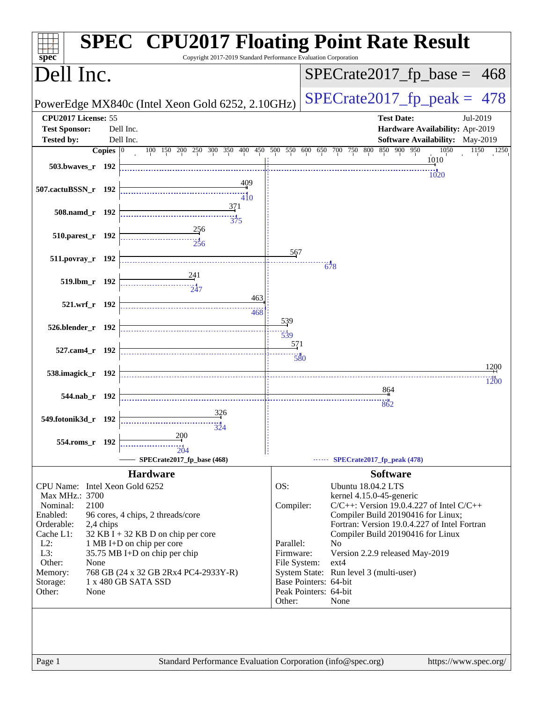| spec <sup>®</sup>                                                                        | <b>SPEC<sup>®</sup> CPU2017 Floating Point Rate Result</b><br>Copyright 2017-2019 Standard Performance Evaluation Corporation |
|------------------------------------------------------------------------------------------|-------------------------------------------------------------------------------------------------------------------------------|
| Dell Inc.                                                                                | $SPECrate2017_fp\_base = 468$                                                                                                 |
| PowerEdge MX840c (Intel Xeon Gold 6252, 2.10GHz)                                         | $SPECTate2017$ _fp_peak = 478                                                                                                 |
| CPU2017 License: 55                                                                      | <b>Test Date:</b><br>Jul-2019                                                                                                 |
| <b>Test Sponsor:</b><br>Dell Inc.                                                        | Hardware Availability: Apr-2019                                                                                               |
| Dell Inc.<br><b>Tested by:</b>                                                           | <b>Software Availability:</b> May-2019                                                                                        |
| Copies $ 0\rangle$                                                                       | 100 150 200 250 300 350 400 450 500 550 600 650 700 750 800 850 900 950<br>1050<br>1150<br>1250                               |
| 503.bwaves_r 192                                                                         | 1010                                                                                                                          |
| 409                                                                                      | 1020                                                                                                                          |
| 507.cactuBSSN_r 192<br>$\frac{1}{4}$ <sub>10</sub>                                       |                                                                                                                               |
| 371                                                                                      |                                                                                                                               |
| 508.namd_r 192<br>$\frac{11}{375}$                                                       |                                                                                                                               |
| 256<br>510.parest_r 192                                                                  |                                                                                                                               |
| 256                                                                                      |                                                                                                                               |
| 511.povray_r 192                                                                         | 567                                                                                                                           |
|                                                                                          | 678                                                                                                                           |
| 241<br>519.lbm r 192<br>747                                                              |                                                                                                                               |
| 463                                                                                      |                                                                                                                               |
| 521.wrf_r 192<br>468                                                                     |                                                                                                                               |
|                                                                                          | 539                                                                                                                           |
| 526.blender_r 192                                                                        | $\frac{11}{539}$                                                                                                              |
| 527.cam4_r 192                                                                           | 571                                                                                                                           |
|                                                                                          | 580                                                                                                                           |
| 538.imagick_r 192                                                                        | 1200                                                                                                                          |
|                                                                                          | 1200<br>864                                                                                                                   |
| 544.nab_r 192                                                                            | 862                                                                                                                           |
| 326                                                                                      |                                                                                                                               |
| 549.fotonik3d_r 192                                                                      |                                                                                                                               |
| 200<br>554.roms r 192                                                                    |                                                                                                                               |
| 204                                                                                      |                                                                                                                               |
| SPECrate2017_fp_base (468)                                                               | $\cdots$ SPECrate2017_fp_peak (478)                                                                                           |
| <b>Hardware</b>                                                                          | <b>Software</b>                                                                                                               |
| CPU Name: Intel Xeon Gold 6252<br>Max MHz.: 3700                                         | OS:<br><b>Ubuntu 18.04.2 LTS</b><br>kernel 4.15.0-45-generic                                                                  |
| Nominal:<br>2100                                                                         | $C/C++$ : Version 19.0.4.227 of Intel $C/C++$<br>Compiler:                                                                    |
| Enabled:<br>96 cores, 4 chips, 2 threads/core                                            | Compiler Build 20190416 for Linux;                                                                                            |
| Orderable:<br>2,4 chips                                                                  | Fortran: Version 19.0.4.227 of Intel Fortran                                                                                  |
| Cache L1:<br>$32$ KB I + 32 KB D on chip per core<br>$L2$ :<br>1 MB I+D on chip per core | Compiler Build 20190416 for Linux<br>Parallel:<br>N <sub>0</sub>                                                              |
| L3:<br>35.75 MB I+D on chip per chip                                                     | Firmware:<br>Version 2.2.9 released May-2019                                                                                  |
| Other:<br>None                                                                           | ext4<br>File System:                                                                                                          |
| 768 GB (24 x 32 GB 2Rx4 PC4-2933Y-R)<br>Memory:<br>1 x 480 GB SATA SSD<br>Storage:       | System State: Run level 3 (multi-user)<br>Base Pointers: 64-bit                                                               |
| Other:<br>None                                                                           | Peak Pointers: 64-bit                                                                                                         |
|                                                                                          | Other:<br>None                                                                                                                |
|                                                                                          |                                                                                                                               |
|                                                                                          |                                                                                                                               |
|                                                                                          |                                                                                                                               |
| Page 1                                                                                   | Standard Performance Evaluation Corporation (info@spec.org)<br>https://www.spec.org/                                          |
|                                                                                          |                                                                                                                               |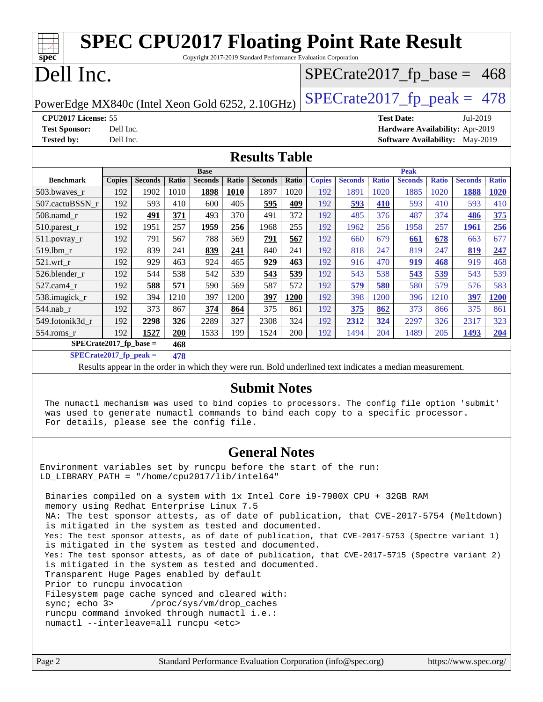| <b>SPEC CPU2017 Floating Point Rate Result</b>                                                           |               |                |       |                |             |                |       |               |                |              |                                        |              |                |              |
|----------------------------------------------------------------------------------------------------------|---------------|----------------|-------|----------------|-------------|----------------|-------|---------------|----------------|--------------|----------------------------------------|--------------|----------------|--------------|
| Copyright 2017-2019 Standard Performance Evaluation Corporation<br>$spec*$                               |               |                |       |                |             |                |       |               |                |              |                                        |              |                |              |
| Dell Inc.<br>$SPECrate2017_fp\_base = 468$                                                               |               |                |       |                |             |                |       |               |                |              |                                        |              |                |              |
| $SPECTate2017$ _fp_peak = 478<br>PowerEdge MX840c (Intel Xeon Gold 6252, 2.10GHz)                        |               |                |       |                |             |                |       |               |                |              |                                        |              |                |              |
| CPU2017 License: 55                                                                                      |               |                |       |                |             |                |       |               |                |              | <b>Test Date:</b>                      |              | Jul-2019       |              |
| <b>Test Sponsor:</b>                                                                                     | Dell Inc.     |                |       |                |             |                |       |               |                |              | Hardware Availability: Apr-2019        |              |                |              |
| <b>Tested by:</b>                                                                                        | Dell Inc.     |                |       |                |             |                |       |               |                |              | <b>Software Availability:</b> May-2019 |              |                |              |
| <b>Results Table</b>                                                                                     |               |                |       |                |             |                |       |               |                |              |                                        |              |                |              |
|                                                                                                          |               |                |       | <b>Base</b>    |             |                |       |               |                |              | Peak                                   |              |                |              |
| <b>Benchmark</b>                                                                                         | <b>Copies</b> | <b>Seconds</b> | Ratio | <b>Seconds</b> | Ratio       | <b>Seconds</b> | Ratio | <b>Copies</b> | <b>Seconds</b> | <b>Ratio</b> | <b>Seconds</b>                         | <b>Ratio</b> | <b>Seconds</b> | <b>Ratio</b> |
| 503.bwaves_r                                                                                             | 192           | 1902           | 1010  | 1898           | <b>1010</b> | 1897           | 1020  | 192           | 1891           | 1020         | 1885                                   | 1020         | 1888           | 1020         |
| 507.cactuBSSN r                                                                                          | 192           | 593            | 410   | 600            | 405         | 595            | 409   | 192           | 593            | 410          | 593                                    | 410          | 593            | 410          |
| 508.namd_r                                                                                               | 192           | 491            | 371   | 493            | 370         | 491            | 372   | 192           | 485            | 376          | 487                                    | 374          | 486            | 375          |
| 510.parest_r                                                                                             | 192           | 1951           | 257   | 1959           | 256         | 1968           | 255   | 192           | 1962           | 256          | 1958                                   | 257          | 1961           | 256          |
| $511$ .povrav r                                                                                          | 192           | 791            | 567   | 788            | 569         | 791            | 567   | 192           | 660            | 679          | 661                                    | 678          | 663            | 677          |
| 519.1bm_r                                                                                                | 192           | 839            | 241   | 839            | 241         | 840            | 241   | 192           | 818            | 247          | 819                                    | 247          | 819            | 247          |
| 521.wrf r                                                                                                | 192           | 929            | 463   | 924            | 465         | 929            | 463   | 192           | 916            | 470          | 919                                    | 468          | 919            | 468          |
| 526.blender r                                                                                            | 192           | 544            | 538   | 542            | 539         | 543            | 539   | 192           | 543            | 538          | 543                                    | 539          | 543            | 539          |
| 527.cam4 r                                                                                               | 192           | 588            | 571   | 590            | 569         | 587            | 572   | 192           | 579            | 580          | 580                                    | 579          | 576            | 583          |
| 538.imagick_r                                                                                            | 192           | 394            | 1210  | 397            | 1200        | 397            | 1200  | 192           | 398            | 1200         | 396                                    | 1210         | 397            | <b>1200</b>  |
| 544.nab r                                                                                                | 192           | 373            | 867   | 374            | 864         | 375            | 861   | 192           | 375            | 862          | 373                                    | 866          | 375            | 861          |
| 549.fotonik3d r                                                                                          | 192           | 2298           | 326   | 2289           | 327         | 2308           | 324   | 192           | 2312           | 324          | 2297                                   | 326          | 2317           | 323          |
| $554$ .roms_r                                                                                            | 192           | 1527           | 200   | 1533           | 199         | 1524           | 200   | 192           | 1494           | 204          | 1489                                   | 205          | 1493           | 204          |
| $SPECrate2017_fp\_base =$                                                                                |               |                | 468   |                |             |                |       |               |                |              |                                        |              |                |              |
| $SPECrate2017_fp\_peak =$                                                                                |               |                | 478   |                |             |                |       |               |                |              |                                        |              |                |              |
| Results appear in the order in which they were run. Bold underlined text indicates a median measurement. |               |                |       |                |             |                |       |               |                |              |                                        |              |                |              |

#### **[Submit Notes](http://www.spec.org/auto/cpu2017/Docs/result-fields.html#SubmitNotes)**

 The numactl mechanism was used to bind copies to processors. The config file option 'submit' was used to generate numactl commands to bind each copy to a specific processor. For details, please see the config file.

#### **[General Notes](http://www.spec.org/auto/cpu2017/Docs/result-fields.html#GeneralNotes)**

Environment variables set by runcpu before the start of the run: LD\_LIBRARY\_PATH = "/home/cpu2017/lib/intel64"

 Binaries compiled on a system with 1x Intel Core i9-7900X CPU + 32GB RAM memory using Redhat Enterprise Linux 7.5 NA: The test sponsor attests, as of date of publication, that CVE-2017-5754 (Meltdown) is mitigated in the system as tested and documented. Yes: The test sponsor attests, as of date of publication, that CVE-2017-5753 (Spectre variant 1) is mitigated in the system as tested and documented. Yes: The test sponsor attests, as of date of publication, that CVE-2017-5715 (Spectre variant 2) is mitigated in the system as tested and documented. Transparent Huge Pages enabled by default Prior to runcpu invocation Filesystem page cache synced and cleared with: sync; echo 3> /proc/sys/vm/drop\_caches runcpu command invoked through numactl i.e.: numactl --interleave=all runcpu <etc>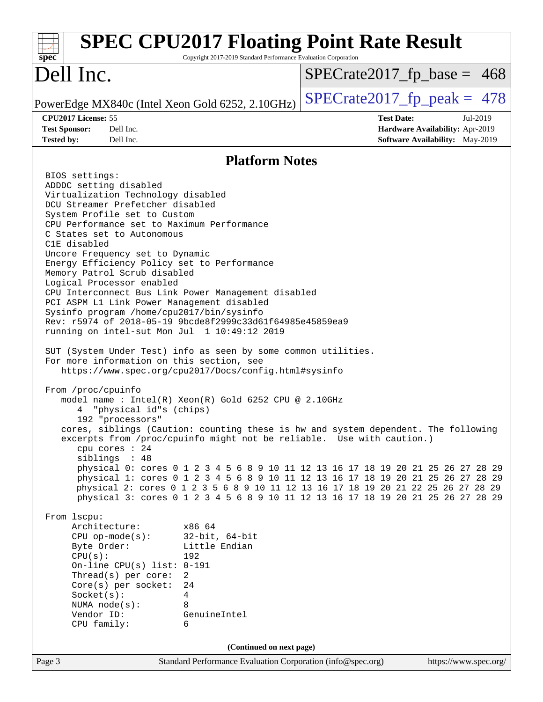| spec <sup>®</sup>                                                                                                                                                                                                                                                                                                                                                                                                                                                                                                                                                                                                                                                                                                                                                                                                                                                                                                                                                                                                                                                                                                   | <b>SPEC CPU2017 Floating Point Rate Result</b><br>Copyright 2017-2019 Standard Performance Evaluation Corporation                                                                                                                                                                                                                                                                                                                                                                                                                                                                                                                                                                                                                               |                                                                                                     |
|---------------------------------------------------------------------------------------------------------------------------------------------------------------------------------------------------------------------------------------------------------------------------------------------------------------------------------------------------------------------------------------------------------------------------------------------------------------------------------------------------------------------------------------------------------------------------------------------------------------------------------------------------------------------------------------------------------------------------------------------------------------------------------------------------------------------------------------------------------------------------------------------------------------------------------------------------------------------------------------------------------------------------------------------------------------------------------------------------------------------|-------------------------------------------------------------------------------------------------------------------------------------------------------------------------------------------------------------------------------------------------------------------------------------------------------------------------------------------------------------------------------------------------------------------------------------------------------------------------------------------------------------------------------------------------------------------------------------------------------------------------------------------------------------------------------------------------------------------------------------------------|-----------------------------------------------------------------------------------------------------|
| Dell Inc.                                                                                                                                                                                                                                                                                                                                                                                                                                                                                                                                                                                                                                                                                                                                                                                                                                                                                                                                                                                                                                                                                                           |                                                                                                                                                                                                                                                                                                                                                                                                                                                                                                                                                                                                                                                                                                                                                 | $SPECrate2017_fp\_base = 468$                                                                       |
| PowerEdge MX840c (Intel Xeon Gold 6252, 2.10GHz)                                                                                                                                                                                                                                                                                                                                                                                                                                                                                                                                                                                                                                                                                                                                                                                                                                                                                                                                                                                                                                                                    |                                                                                                                                                                                                                                                                                                                                                                                                                                                                                                                                                                                                                                                                                                                                                 | $SPECTate2017$ _fp_peak = 478                                                                       |
| CPU2017 License: 55<br><b>Test Sponsor:</b><br>Dell Inc.<br><b>Tested by:</b><br>Dell Inc.                                                                                                                                                                                                                                                                                                                                                                                                                                                                                                                                                                                                                                                                                                                                                                                                                                                                                                                                                                                                                          |                                                                                                                                                                                                                                                                                                                                                                                                                                                                                                                                                                                                                                                                                                                                                 | <b>Test Date:</b><br>Jul-2019<br>Hardware Availability: Apr-2019<br>Software Availability: May-2019 |
|                                                                                                                                                                                                                                                                                                                                                                                                                                                                                                                                                                                                                                                                                                                                                                                                                                                                                                                                                                                                                                                                                                                     | <b>Platform Notes</b>                                                                                                                                                                                                                                                                                                                                                                                                                                                                                                                                                                                                                                                                                                                           |                                                                                                     |
| BIOS settings:<br>ADDDC setting disabled<br>Virtualization Technology disabled<br>DCU Streamer Prefetcher disabled<br>System Profile set to Custom<br>CPU Performance set to Maximum Performance<br>C States set to Autonomous<br>C1E disabled<br>Uncore Frequency set to Dynamic<br>Energy Efficiency Policy set to Performance<br>Memory Patrol Scrub disabled<br>Logical Processor enabled<br>CPU Interconnect Bus Link Power Management disabled<br>PCI ASPM L1 Link Power Management disabled<br>Sysinfo program /home/cpu2017/bin/sysinfo<br>Rev: r5974 of 2018-05-19 9bcde8f2999c33d61f64985e45859ea9<br>running on intel-sut Mon Jul 1 10:49:12 2019<br>SUT (System Under Test) info as seen by some common utilities.<br>For more information on this section, see<br>From /proc/cpuinfo<br>"physical id"s (chips)<br>192 "processors"<br>cpu cores : 24<br>siblings : 48<br>From 1scpu:<br>Architecture:<br>$CPU$ op-mode( $s$ ):<br>Byte Order:<br>CPU(s):<br>On-line CPU(s) list: $0-191$<br>Thread(s) per core:<br>$Core(s)$ per socket:<br>Socket(s):<br>NUMA $node(s):$<br>Vendor ID:<br>CPU family: | https://www.spec.org/cpu2017/Docs/config.html#sysinfo<br>model name : Intel(R) Xeon(R) Gold 6252 CPU @ 2.10GHz<br>cores, siblings (Caution: counting these is hw and system dependent. The following<br>excerpts from /proc/cpuinfo might not be reliable. Use with caution.)<br>physical 0: cores 0 1 2 3 4 5 6 8 9 10 11 12 13 16 17 18 19 20 21 25 26 27 28 29<br>physical 1: cores 0 1 2 3 4 5 6 8 9 10 11 12 13 16 17 18 19 20 21 25 26 27 28 29<br>physical 2: cores 0 1 2 3 5 6 8 9 10 11 12 13 16 17 18 19 20 21 22 25 26 27 28 29<br>physical 3: cores 0 1 2 3 4 5 6 8 9 10 11 12 13 16 17 18 19 20 21 25 26 27 28 29<br>x86 64<br>$32$ -bit, $64$ -bit<br>Little Endian<br>192<br>$\overline{2}$<br>24<br>4<br>8<br>GenuineIntel<br>6 |                                                                                                     |
|                                                                                                                                                                                                                                                                                                                                                                                                                                                                                                                                                                                                                                                                                                                                                                                                                                                                                                                                                                                                                                                                                                                     | (Continued on next page)                                                                                                                                                                                                                                                                                                                                                                                                                                                                                                                                                                                                                                                                                                                        |                                                                                                     |
| Page 3                                                                                                                                                                                                                                                                                                                                                                                                                                                                                                                                                                                                                                                                                                                                                                                                                                                                                                                                                                                                                                                                                                              | Standard Performance Evaluation Corporation (info@spec.org)                                                                                                                                                                                                                                                                                                                                                                                                                                                                                                                                                                                                                                                                                     | https://www.spec.org/                                                                               |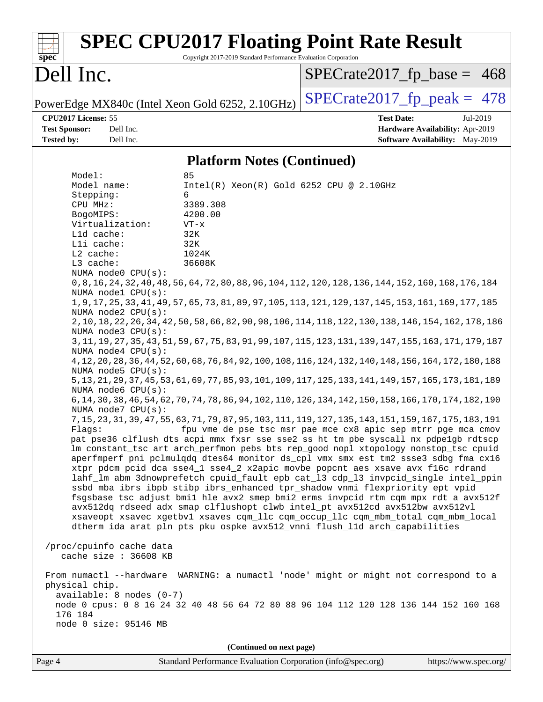| $spec^*$                                                                                                                                       |                                                                                                                                                                                                                                                                                                                    | Copyright 2017-2019 Standard Performance Evaluation Corporation                                                                                     | <b>SPEC CPU2017 Floating Point Rate Result</b>                                                                                                                                                                                                                                                                                                                                                                                                                                                                                                                                                                                                                                                                                                                                                                                                                                                                                                                                                                                                                                                                                                                                                                                                                                                                                                                                                                                                                                                                                                                                                                                                                                                                                                                                                                                                                                                                                                                                               |
|------------------------------------------------------------------------------------------------------------------------------------------------|--------------------------------------------------------------------------------------------------------------------------------------------------------------------------------------------------------------------------------------------------------------------------------------------------------------------|-----------------------------------------------------------------------------------------------------------------------------------------------------|----------------------------------------------------------------------------------------------------------------------------------------------------------------------------------------------------------------------------------------------------------------------------------------------------------------------------------------------------------------------------------------------------------------------------------------------------------------------------------------------------------------------------------------------------------------------------------------------------------------------------------------------------------------------------------------------------------------------------------------------------------------------------------------------------------------------------------------------------------------------------------------------------------------------------------------------------------------------------------------------------------------------------------------------------------------------------------------------------------------------------------------------------------------------------------------------------------------------------------------------------------------------------------------------------------------------------------------------------------------------------------------------------------------------------------------------------------------------------------------------------------------------------------------------------------------------------------------------------------------------------------------------------------------------------------------------------------------------------------------------------------------------------------------------------------------------------------------------------------------------------------------------------------------------------------------------------------------------------------------------|
| Dell Inc.                                                                                                                                      |                                                                                                                                                                                                                                                                                                                    |                                                                                                                                                     | $SPECrate2017_fp\_base = 468$                                                                                                                                                                                                                                                                                                                                                                                                                                                                                                                                                                                                                                                                                                                                                                                                                                                                                                                                                                                                                                                                                                                                                                                                                                                                                                                                                                                                                                                                                                                                                                                                                                                                                                                                                                                                                                                                                                                                                                |
|                                                                                                                                                |                                                                                                                                                                                                                                                                                                                    | PowerEdge MX840c (Intel Xeon Gold 6252, 2.10GHz)                                                                                                    | $SPECTate2017$ _fp_peak = 478                                                                                                                                                                                                                                                                                                                                                                                                                                                                                                                                                                                                                                                                                                                                                                                                                                                                                                                                                                                                                                                                                                                                                                                                                                                                                                                                                                                                                                                                                                                                                                                                                                                                                                                                                                                                                                                                                                                                                                |
| CPU2017 License: 55<br><b>Test Sponsor:</b><br><b>Tested by:</b>                                                                               | Dell Inc.<br>Dell Inc.                                                                                                                                                                                                                                                                                             |                                                                                                                                                     | <b>Test Date:</b><br>Jul-2019<br>Hardware Availability: Apr-2019<br><b>Software Availability:</b> May-2019                                                                                                                                                                                                                                                                                                                                                                                                                                                                                                                                                                                                                                                                                                                                                                                                                                                                                                                                                                                                                                                                                                                                                                                                                                                                                                                                                                                                                                                                                                                                                                                                                                                                                                                                                                                                                                                                                   |
|                                                                                                                                                |                                                                                                                                                                                                                                                                                                                    | <b>Platform Notes (Continued)</b>                                                                                                                   |                                                                                                                                                                                                                                                                                                                                                                                                                                                                                                                                                                                                                                                                                                                                                                                                                                                                                                                                                                                                                                                                                                                                                                                                                                                                                                                                                                                                                                                                                                                                                                                                                                                                                                                                                                                                                                                                                                                                                                                              |
| Model:<br>Model name:<br>Stepping:<br>CPU MHz:<br>BogoMIPS:<br>Lld cache:<br>Lli cache:<br>L2 cache:<br>L3 cache:<br>physical chip.<br>176 184 | Virtualization:<br>NUMA node0 CPU(s):<br>NUMA nodel CPU(s):<br>NUMA node2 CPU(s):<br>NUMA node3 CPU(s):<br>NUMA $node4$ $CPU(s)$ :<br>NUMA node5 $CPU(s):$<br>NUMA node6 CPU(s):<br>NUMA node7 CPU(s):<br>/proc/cpuinfo cache data<br>cache size : 36608 KB<br>$available: 8 nodes (0-7)$<br>node 0 size: 95146 MB | 85<br>Intel(R) Xeon(R) Gold 6252 CPU @ 2.10GHz<br>6<br>3389.308<br>4200.00<br>$VT - x$<br>32K<br>32K<br>1024K<br>36608K<br>(Continued on next page) | 0,8,16,168,176,188,176,189,176,189,104,112,120,128,124,152,160,168,176,184<br>1, 9, 17, 25, 33, 41, 49, 57, 65, 73, 81, 89, 97, 105, 113, 121, 129, 137, 145, 153, 161, 169, 177, 185<br>2, 10, 18, 22, 26, 34, 42, 50, 58, 66, 82, 90, 98, 106, 114, 118, 122, 130, 138, 146, 154, 162, 178, 186<br>3, 11, 19, 27, 35, 43, 51, 59, 67, 75, 83, 91, 99, 107, 115, 123, 131, 139, 147, 155, 163, 171, 179, 187<br>4, 12, 20, 28, 36, 44, 52, 60, 68, 76, 84, 92, 100, 108, 116, 124, 132, 140, 148, 156, 164, 172, 180, 188<br>5, 13, 21, 29, 37, 45, 53, 61, 69, 77, 85, 93, 101, 109, 117, 125, 133, 141, 149, 157, 165, 173, 181, 189<br>6, 14, 30, 38, 46, 54, 62, 70, 74, 78, 86, 94, 102, 110, 126, 134, 142, 150, 158, 166, 170, 174, 182, 190<br>7, 15, 23, 31, 39, 47, 55, 63, 71, 79, 87, 95, 103, 111, 119, 127, 135, 143, 151, 159, 167, 175, 183, 191<br>Flags: fpu vme de pse tsc msr pae mce cx8 apic sep mtrr pge mca cmov<br>pat pse36 clflush dts acpi mmx fxsr sse sse2 ss ht tm pbe syscall nx pdpelgb rdtscp<br>lm constant_tsc art arch_perfmon pebs bts rep_good nopl xtopology nonstop_tsc cpuid<br>aperfmperf pni pclmulqdq dtes64 monitor ds_cpl vmx smx est tm2 ssse3 sdbg fma cx16<br>xtpr pdcm pcid dca sse4_1 sse4_2 x2apic movbe popcnt aes xsave avx f16c rdrand<br>lahf_lm abm 3dnowprefetch cpuid_fault epb cat_13 cdp_13 invpcid_single intel_ppin<br>ssbd mba ibrs ibpb stibp ibrs_enhanced tpr_shadow vnmi flexpriority ept vpid<br>fsgsbase tsc_adjust bmil hle avx2 smep bmi2 erms invpcid rtm cqm mpx rdt_a avx512f<br>avx512dq rdseed adx smap clflushopt clwb intel_pt avx512cd avx512bw avx512vl<br>xsaveopt xsavec xgetbvl xsaves cqm_llc cqm_occup_llc cqm_mbm_total cqm_mbm_local<br>dtherm ida arat pln pts pku ospke avx512_vnni flush_l1d arch_capabilities<br>From numactl --hardware WARNING: a numactl 'node' might or might not correspond to a<br>node 0 cpus: 0 8 16 24 32 40 48 56 64 72 80 88 96 104 112 120 128 136 144 152 160 168 |
|                                                                                                                                                |                                                                                                                                                                                                                                                                                                                    |                                                                                                                                                     |                                                                                                                                                                                                                                                                                                                                                                                                                                                                                                                                                                                                                                                                                                                                                                                                                                                                                                                                                                                                                                                                                                                                                                                                                                                                                                                                                                                                                                                                                                                                                                                                                                                                                                                                                                                                                                                                                                                                                                                              |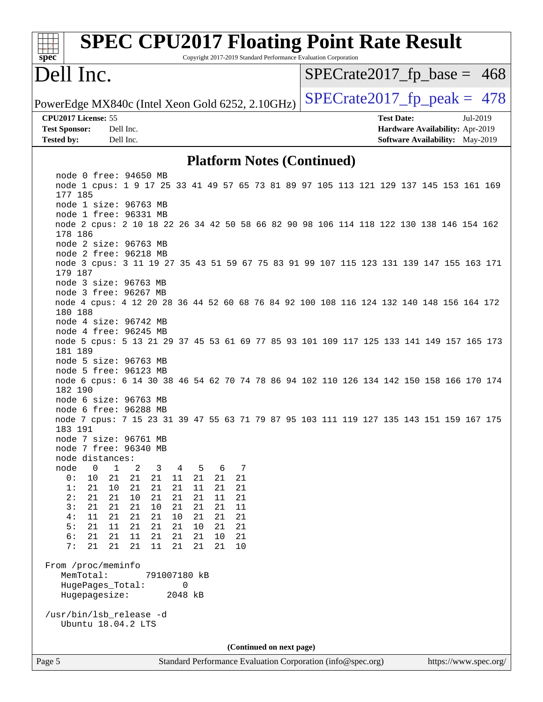| <b>SPEC CPU2017 Floating Point Rate Result</b><br>Spec<br>Copyright 2017-2019 Standard Performance Evaluation Corporation   |                          |                                        |
|-----------------------------------------------------------------------------------------------------------------------------|--------------------------|----------------------------------------|
| Dell Inc.                                                                                                                   |                          | $SPECTate2017_fp\_base = 468$          |
| PowerEdge MX840c (Intel Xeon Gold 6252, 2.10GHz)                                                                            |                          | $SPECTate2017$ _fp_peak = 478          |
| CPU2017 License: 55                                                                                                         |                          | <b>Test Date:</b><br>Jul-2019          |
| <b>Test Sponsor:</b><br>Dell Inc.                                                                                           |                          | Hardware Availability: Apr-2019        |
| Dell Inc.<br><b>Tested by:</b>                                                                                              |                          | <b>Software Availability:</b> May-2019 |
| <b>Platform Notes (Continued)</b>                                                                                           |                          |                                        |
| node 0 free: 94650 MB                                                                                                       |                          |                                        |
| node 1 cpus: 1 9 17 25 33 41 49 57 65 73 81 89 97 105 113 121 129 137 145 153 161 169<br>177 185                            |                          |                                        |
| node 1 size: 96763 MB                                                                                                       |                          |                                        |
| node 1 free: 96331 MB                                                                                                       |                          |                                        |
| node 2 cpus: 2 10 18 22 26 34 42 50 58 66 82 90 98 106 114 118 122 130 138 146 154 162<br>178 186                           |                          |                                        |
| node 2 size: 96763 MB<br>node 2 free: 96218 MB                                                                              |                          |                                        |
| node 3 cpus: 3 11 19 27 35 43 51 59 67 75 83 91 99 107 115 123 131 139 147 155 163 171<br>179 187                           |                          |                                        |
| node 3 size: 96763 MB                                                                                                       |                          |                                        |
| node 3 free: 96267 MB                                                                                                       |                          |                                        |
| node 4 cpus: 4 12 20 28 36 44 52 60 68 76 84 92 100 108 116 124 132 140 148 156 164 172<br>180 188<br>node 4 size: 96742 MB |                          |                                        |
| node 4 free: 96245 MB                                                                                                       |                          |                                        |
| node 5 cpus: 5 13 21 29 37 45 53 61 69 77 85 93 101 109 117 125 133 141 149 157 165 173<br>181 189                          |                          |                                        |
| node 5 size: 96763 MB                                                                                                       |                          |                                        |
| node 5 free: 96123 MB<br>node 6 cpus: 6 14 30 38 46 54 62 70 74 78 86 94 102 110 126 134 142 150 158 166 170 174<br>182 190 |                          |                                        |
| node 6 size: 96763 MB                                                                                                       |                          |                                        |
| node 6 free: 96288 MB                                                                                                       |                          |                                        |
| node 7 cpus: 7 15 23 31 39 47 55 63 71 79 87 95 103 111 119 127 135 143 151 159 167 175<br>183 191                          |                          |                                        |
| node 7 size: 96761 MB                                                                                                       |                          |                                        |
| node 7 free: 96340 MB<br>node distances:                                                                                    |                          |                                        |
| $\mathbf 0$<br>node<br>1<br>2<br>3<br>5<br>6<br>7<br>4                                                                      |                          |                                        |
| 0:<br>10<br>21<br>21<br>21<br>21<br>11<br>21<br>21                                                                          |                          |                                        |
| 21<br>1:<br>21<br>10<br>21<br>21<br>21<br>11<br>21                                                                          |                          |                                        |
| 2:<br>21<br>21<br>10<br>21<br>21<br>21<br>11<br>21<br>10<br>21<br>21<br>11<br>3 :<br>21<br>21<br>21<br>21                   |                          |                                        |
| 4:<br>11<br>21<br>21<br>21<br>21<br>21<br>21<br>10                                                                          |                          |                                        |
| 5:<br>21<br>21<br>21<br>21<br>10<br>11<br>21<br>21                                                                          |                          |                                        |
| 6:<br>11<br>21<br>21<br>21<br>21<br>21<br>21<br>10                                                                          |                          |                                        |
| 7:<br>21<br>21<br>21<br>21<br>11<br>21<br>21<br>10                                                                          |                          |                                        |
| From /proc/meminfo<br>MemTotal:<br>791007180 kB                                                                             |                          |                                        |
| HugePages_Total:<br>0                                                                                                       |                          |                                        |
| Hugepagesize:<br>2048 kB                                                                                                    |                          |                                        |
| /usr/bin/lsb_release -d                                                                                                     |                          |                                        |
| Ubuntu 18.04.2 LTS                                                                                                          |                          |                                        |
|                                                                                                                             | (Continued on next page) |                                        |
| Page 5<br>Standard Performance Evaluation Corporation (info@spec.org)                                                       |                          | https://www.spec.org/                  |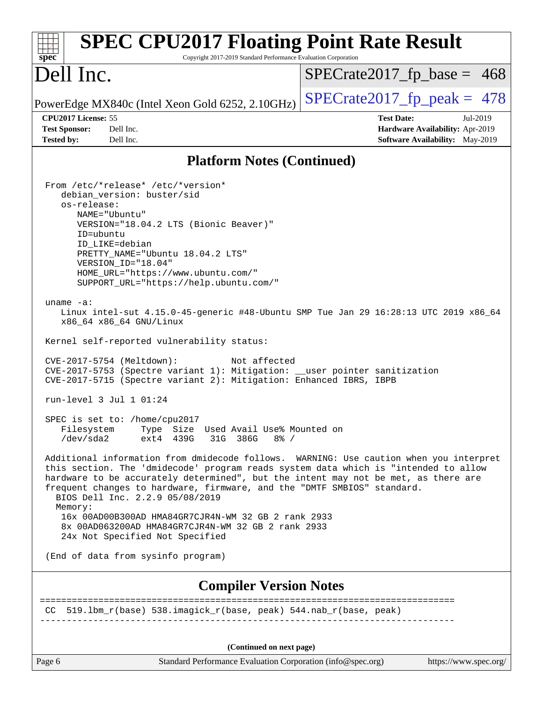| <b>SPEC CPU2017 Floating Point Rate Result</b><br>Spec<br>Copyright 2017-2019 Standard Performance Evaluation Corporation                                                                                                                                                                                                                                                                                                                                                                                                                                                                                                                                                                                                                                                                                                                                                                                                                                                                                                                                                                                                                                                                                                                                                                                                                                                                                                                                                  |                                 |
|----------------------------------------------------------------------------------------------------------------------------------------------------------------------------------------------------------------------------------------------------------------------------------------------------------------------------------------------------------------------------------------------------------------------------------------------------------------------------------------------------------------------------------------------------------------------------------------------------------------------------------------------------------------------------------------------------------------------------------------------------------------------------------------------------------------------------------------------------------------------------------------------------------------------------------------------------------------------------------------------------------------------------------------------------------------------------------------------------------------------------------------------------------------------------------------------------------------------------------------------------------------------------------------------------------------------------------------------------------------------------------------------------------------------------------------------------------------------------|---------------------------------|
| Dell Inc.                                                                                                                                                                                                                                                                                                                                                                                                                                                                                                                                                                                                                                                                                                                                                                                                                                                                                                                                                                                                                                                                                                                                                                                                                                                                                                                                                                                                                                                                  | $SPECTate2017_fp\_base = 468$   |
| PowerEdge MX840c (Intel Xeon Gold 6252, 2.10GHz)                                                                                                                                                                                                                                                                                                                                                                                                                                                                                                                                                                                                                                                                                                                                                                                                                                                                                                                                                                                                                                                                                                                                                                                                                                                                                                                                                                                                                           | $SPECrate2017_fp\_peak = 478$   |
| CPU2017 License: 55                                                                                                                                                                                                                                                                                                                                                                                                                                                                                                                                                                                                                                                                                                                                                                                                                                                                                                                                                                                                                                                                                                                                                                                                                                                                                                                                                                                                                                                        | <b>Test Date:</b><br>Jul-2019   |
| Dell Inc.<br><b>Test Sponsor:</b>                                                                                                                                                                                                                                                                                                                                                                                                                                                                                                                                                                                                                                                                                                                                                                                                                                                                                                                                                                                                                                                                                                                                                                                                                                                                                                                                                                                                                                          | Hardware Availability: Apr-2019 |
| <b>Tested by:</b><br>Dell Inc.                                                                                                                                                                                                                                                                                                                                                                                                                                                                                                                                                                                                                                                                                                                                                                                                                                                                                                                                                                                                                                                                                                                                                                                                                                                                                                                                                                                                                                             | Software Availability: May-2019 |
| <b>Platform Notes (Continued)</b>                                                                                                                                                                                                                                                                                                                                                                                                                                                                                                                                                                                                                                                                                                                                                                                                                                                                                                                                                                                                                                                                                                                                                                                                                                                                                                                                                                                                                                          |                                 |
| From /etc/*release* /etc/*version*<br>debian_version: buster/sid<br>os-release:<br>NAME="Ubuntu"<br>VERSION="18.04.2 LTS (Bionic Beaver)"<br>ID=ubuntu<br>ID LIKE=debian<br>PRETTY NAME="Ubuntu 18.04.2 LTS"<br>VERSION ID="18.04"<br>HOME_URL="https://www.ubuntu.com/"<br>SUPPORT_URL="https://help.ubuntu.com/"<br>uname $-a$ :<br>Linux intel-sut 4.15.0-45-generic #48-Ubuntu SMP Tue Jan 29 16:28:13 UTC 2019 x86_64<br>x86_64 x86_64 GNU/Linux<br>Kernel self-reported vulnerability status:<br>CVE-2017-5754 (Meltdown):<br>Not affected<br>CVE-2017-5753 (Spectre variant 1): Mitigation: __user pointer sanitization<br>CVE-2017-5715 (Spectre variant 2): Mitigation: Enhanced IBRS, IBPB<br>run-level $3$ Jul $1$ 01:24<br>SPEC is set to: /home/cpu2017<br>Filesystem<br>Type Size Used Avail Use% Mounted on<br>/dev/sda2<br>ext4 439G<br>31G 386G<br>$8\frac{6}{5}$ /<br>Additional information from dmidecode follows. WARNING: Use caution when you interpret<br>this section. The 'dmidecode' program reads system data which is "intended to allow<br>hardware to be accurately determined", but the intent may not be met, as there are<br>frequent changes to hardware, firmware, and the "DMTF SMBIOS" standard.<br>BIOS Dell Inc. 2.2.9 05/08/2019<br>Memory:<br>16x 00AD00B300AD HMA84GR7CJR4N-WM 32 GB 2 rank 2933<br>8x 00AD063200AD HMA84GR7CJR4N-WM 32 GB 2 rank 2933<br>24x Not Specified Not Specified<br>(End of data from sysinfo program) |                                 |
| <b>Compiler Version Notes</b>                                                                                                                                                                                                                                                                                                                                                                                                                                                                                                                                                                                                                                                                                                                                                                                                                                                                                                                                                                                                                                                                                                                                                                                                                                                                                                                                                                                                                                              |                                 |
| CC 519.1bm_r(base) 538.imagick_r(base, peak) 544.nab_r(base, peak)                                                                                                                                                                                                                                                                                                                                                                                                                                                                                                                                                                                                                                                                                                                                                                                                                                                                                                                                                                                                                                                                                                                                                                                                                                                                                                                                                                                                         |                                 |
| (Continued on next page)                                                                                                                                                                                                                                                                                                                                                                                                                                                                                                                                                                                                                                                                                                                                                                                                                                                                                                                                                                                                                                                                                                                                                                                                                                                                                                                                                                                                                                                   |                                 |

Page 6 Standard Performance Evaluation Corporation [\(info@spec.org\)](mailto:info@spec.org) <https://www.spec.org/>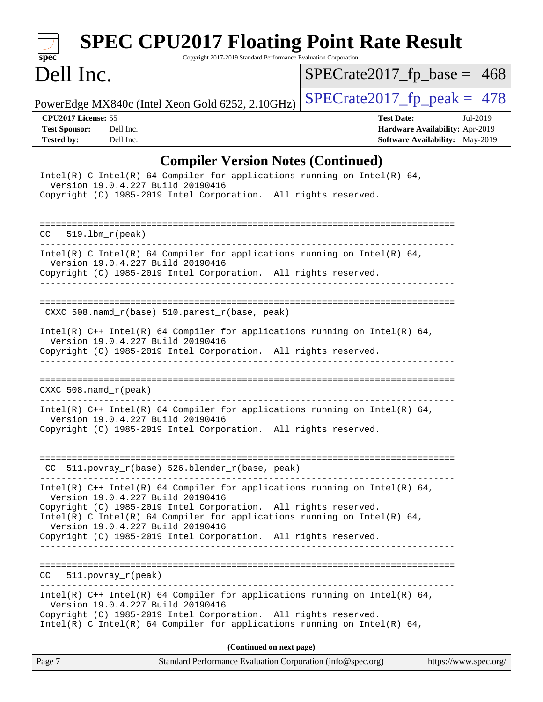| <b>SPEC CPU2017 Floating Point Rate Result</b><br>$spec^*$<br>Copyright 2017-2019 Standard Performance Evaluation Corporation                                                                                                                                                                                                                                            |                                                                                                     |  |  |  |  |  |
|--------------------------------------------------------------------------------------------------------------------------------------------------------------------------------------------------------------------------------------------------------------------------------------------------------------------------------------------------------------------------|-----------------------------------------------------------------------------------------------------|--|--|--|--|--|
| Dell Inc.                                                                                                                                                                                                                                                                                                                                                                | $SPECrate2017_fp\_base = 468$                                                                       |  |  |  |  |  |
| PowerEdge MX840c (Intel Xeon Gold 6252, 2.10GHz)                                                                                                                                                                                                                                                                                                                         | $SPECTate2017$ _fp_peak = 478                                                                       |  |  |  |  |  |
| CPU2017 License: 55<br><b>Test Sponsor:</b><br>Dell Inc.<br><b>Tested by:</b><br>Dell Inc.                                                                                                                                                                                                                                                                               | <b>Test Date:</b><br>Jul-2019<br>Hardware Availability: Apr-2019<br>Software Availability: May-2019 |  |  |  |  |  |
| <b>Compiler Version Notes (Continued)</b><br>Intel(R) C Intel(R) 64 Compiler for applications running on Intel(R) 64,<br>Version 19.0.4.227 Build 20190416<br>Copyright (C) 1985-2019 Intel Corporation. All rights reserved.<br>---------------                                                                                                                         |                                                                                                     |  |  |  |  |  |
| 519.1bm_r(peak)<br>CC.                                                                                                                                                                                                                                                                                                                                                   |                                                                                                     |  |  |  |  |  |
| Intel(R) C Intel(R) 64 Compiler for applications running on Intel(R) 64,<br>Version 19.0.4.227 Build 20190416<br>Copyright (C) 1985-2019 Intel Corporation. All rights reserved.                                                                                                                                                                                         |                                                                                                     |  |  |  |  |  |
| CXXC 508.namd_r(base) 510.parest_r(base, peak)                                                                                                                                                                                                                                                                                                                           |                                                                                                     |  |  |  |  |  |
| Intel(R) $C++$ Intel(R) 64 Compiler for applications running on Intel(R) 64,<br>Version 19.0.4.227 Build 20190416<br>Copyright (C) 1985-2019 Intel Corporation. All rights reserved.                                                                                                                                                                                     |                                                                                                     |  |  |  |  |  |
| $CXXC 508.namd_r (peak)$                                                                                                                                                                                                                                                                                                                                                 |                                                                                                     |  |  |  |  |  |
| Intel(R) $C++$ Intel(R) 64 Compiler for applications running on Intel(R) 64,<br>Version 19.0.4.227 Build 20190416<br>Copyright (C) 1985-2019 Intel Corporation. All rights reserved.                                                                                                                                                                                     |                                                                                                     |  |  |  |  |  |
| CC 511.povray_r(base) 526.blender_r(base, peak)                                                                                                                                                                                                                                                                                                                          |                                                                                                     |  |  |  |  |  |
| Intel(R) $C++$ Intel(R) 64 Compiler for applications running on Intel(R) 64,<br>Version 19.0.4.227 Build 20190416<br>Copyright (C) 1985-2019 Intel Corporation. All rights reserved.<br>Intel(R) C Intel(R) 64 Compiler for applications running on Intel(R) 64,<br>Version 19.0.4.227 Build 20190416<br>Copyright (C) 1985-2019 Intel Corporation. All rights reserved. |                                                                                                     |  |  |  |  |  |
| $CC = 511. povray_r (peak)$                                                                                                                                                                                                                                                                                                                                              |                                                                                                     |  |  |  |  |  |
| Intel(R) $C++$ Intel(R) 64 Compiler for applications running on Intel(R) 64,<br>Version 19.0.4.227 Build 20190416<br>Copyright (C) 1985-2019 Intel Corporation. All rights reserved.<br>Intel(R) C Intel(R) 64 Compiler for applications running on Intel(R) 64,                                                                                                         |                                                                                                     |  |  |  |  |  |
| (Continued on next page)<br>$\mathbf{r}$ $\mathbf{r}$ $\mathbf{r}$ $\mathbf{r}$ $\mathbf{r}$                                                                                                                                                                                                                                                                             |                                                                                                     |  |  |  |  |  |

| Page 7 | Standard Performance Evaluation Corporation (info@spec.org) | https://www.spec.org/ |
|--------|-------------------------------------------------------------|-----------------------|
|        |                                                             |                       |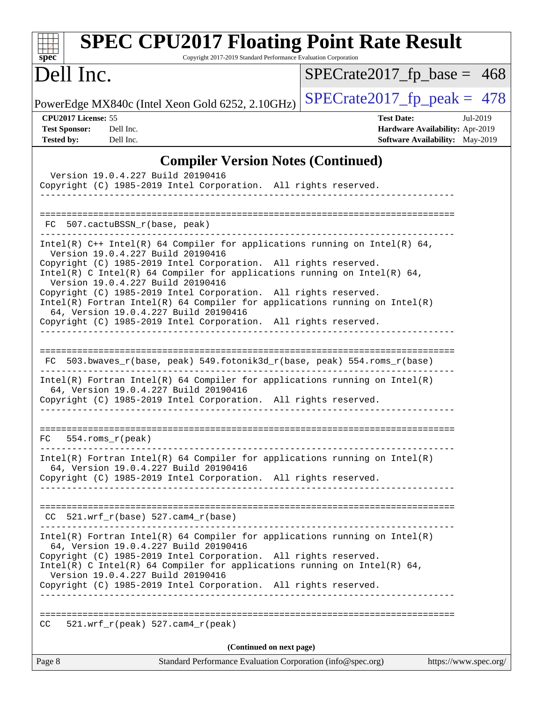| <b>SPEC CPU2017 Floating Point Rate Result</b><br>Copyright 2017-2019 Standard Performance Evaluation Corporation<br>spec <sup>®</sup>                                                                                                                                                                                                                                                                                                                                                                                                                               |                                                                                                            |
|----------------------------------------------------------------------------------------------------------------------------------------------------------------------------------------------------------------------------------------------------------------------------------------------------------------------------------------------------------------------------------------------------------------------------------------------------------------------------------------------------------------------------------------------------------------------|------------------------------------------------------------------------------------------------------------|
| Dell Inc.                                                                                                                                                                                                                                                                                                                                                                                                                                                                                                                                                            | $SPECrate2017_fp\_base = 468$                                                                              |
| PowerEdge MX840c (Intel Xeon Gold 6252, 2.10GHz)                                                                                                                                                                                                                                                                                                                                                                                                                                                                                                                     | $SPECrate2017_fp\_peak = 478$                                                                              |
| CPU2017 License: 55<br><b>Test Sponsor:</b><br>Dell Inc.<br><b>Tested by:</b><br>Dell Inc.                                                                                                                                                                                                                                                                                                                                                                                                                                                                           | <b>Test Date:</b><br>Jul-2019<br>Hardware Availability: Apr-2019<br><b>Software Availability:</b> May-2019 |
| <b>Compiler Version Notes (Continued)</b>                                                                                                                                                                                                                                                                                                                                                                                                                                                                                                                            |                                                                                                            |
| Version 19.0.4.227 Build 20190416<br>Copyright (C) 1985-2019 Intel Corporation. All rights reserved.                                                                                                                                                                                                                                                                                                                                                                                                                                                                 |                                                                                                            |
| 507.cactuBSSN_r(base, peak)<br>FC.                                                                                                                                                                                                                                                                                                                                                                                                                                                                                                                                   |                                                                                                            |
| Intel(R) $C++$ Intel(R) 64 Compiler for applications running on Intel(R) 64,<br>Version 19.0.4.227 Build 20190416<br>Copyright (C) 1985-2019 Intel Corporation. All rights reserved.<br>Intel(R) C Intel(R) 64 Compiler for applications running on Intel(R) 64,<br>Version 19.0.4.227 Build 20190416<br>Copyright (C) 1985-2019 Intel Corporation. All rights reserved.<br>$Intel(R)$ Fortran Intel(R) 64 Compiler for applications running on Intel(R)<br>64, Version 19.0.4.227 Build 20190416<br>Copyright (C) 1985-2019 Intel Corporation. All rights reserved. |                                                                                                            |
| 503.bwaves_r(base, peak) 549.fotonik3d_r(base, peak) 554.roms_r(base)<br>FC.<br>$Intel(R)$ Fortran Intel(R) 64 Compiler for applications running on Intel(R)<br>64, Version 19.0.4.227 Build 20190416<br>Copyright (C) 1985-2019 Intel Corporation. All rights reserved.                                                                                                                                                                                                                                                                                             |                                                                                                            |
| =====================<br>$554.rows_r (peak)$<br>FC.                                                                                                                                                                                                                                                                                                                                                                                                                                                                                                                  |                                                                                                            |
| $Intel(R)$ Fortran Intel(R) 64 Compiler for applications running on Intel(R)<br>64, Version 19.0.4.227 Build 20190416<br>Copyright (C) 1985-2019 Intel Corporation. All rights reserved.                                                                                                                                                                                                                                                                                                                                                                             |                                                                                                            |
| $CC$ 521.wrf_ $r$ (base) 527.cam4_ $r$ (base)                                                                                                                                                                                                                                                                                                                                                                                                                                                                                                                        |                                                                                                            |
| $Intel(R)$ Fortran Intel(R) 64 Compiler for applications running on Intel(R)<br>64, Version 19.0.4.227 Build 20190416<br>Copyright (C) 1985-2019 Intel Corporation. All rights reserved.<br>Intel(R) C Intel(R) 64 Compiler for applications running on Intel(R) 64,<br>Version 19.0.4.227 Build 20190416<br>Copyright (C) 1985-2019 Intel Corporation. All rights reserved.                                                                                                                                                                                         |                                                                                                            |
| $521. wrf_r(peak) 527. cam4_r(peak)$<br>CC.                                                                                                                                                                                                                                                                                                                                                                                                                                                                                                                          |                                                                                                            |
| (Continued on next page)                                                                                                                                                                                                                                                                                                                                                                                                                                                                                                                                             |                                                                                                            |
| Page 8<br>Standard Performance Evaluation Corporation (info@spec.org)                                                                                                                                                                                                                                                                                                                                                                                                                                                                                                | https://www.spec.org/                                                                                      |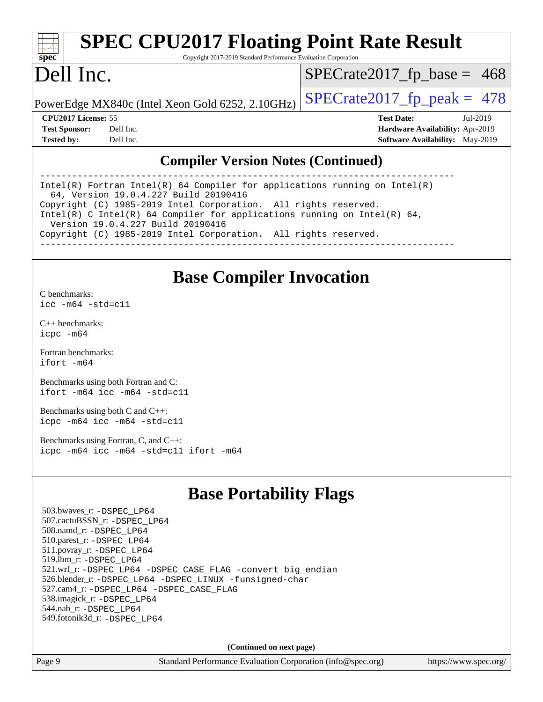| spe<br>c |  |  |  |  |  |
|----------|--|--|--|--|--|

# **[SPEC CPU2017 Floating Point Rate Result](http://www.spec.org/auto/cpu2017/Docs/result-fields.html#SPECCPU2017FloatingPointRateResult)**

Copyright 2017-2019 Standard Performance Evaluation Corporation

## Dell Inc.

 $SPECTate2017_fp\_base = 468$ 

PowerEdge MX840c (Intel Xeon Gold 6252, 2.10GHz)  $\left|$  [SPECrate2017\\_fp\\_peak =](http://www.spec.org/auto/cpu2017/Docs/result-fields.html#SPECrate2017fppeak) 478

**[CPU2017 License:](http://www.spec.org/auto/cpu2017/Docs/result-fields.html#CPU2017License)** 55 **[Test Date:](http://www.spec.org/auto/cpu2017/Docs/result-fields.html#TestDate)** Jul-2019 **[Test Sponsor:](http://www.spec.org/auto/cpu2017/Docs/result-fields.html#TestSponsor)** Dell Inc. **[Hardware Availability:](http://www.spec.org/auto/cpu2017/Docs/result-fields.html#HardwareAvailability)** Apr-2019 **[Tested by:](http://www.spec.org/auto/cpu2017/Docs/result-fields.html#Testedby)** Dell Inc. **[Software Availability:](http://www.spec.org/auto/cpu2017/Docs/result-fields.html#SoftwareAvailability)** May-2019

#### **[Compiler Version Notes \(Continued\)](http://www.spec.org/auto/cpu2017/Docs/result-fields.html#CompilerVersionNotes)**

------------------------------------------------------------------------------ Intel(R) Fortran Intel(R) 64 Compiler for applications running on Intel(R) 64, Version 19.0.4.227 Build 20190416 Copyright (C) 1985-2019 Intel Corporation. All rights reserved. Intel(R) C Intel(R) 64 Compiler for applications running on Intel(R)  $64$ , Version 19.0.4.227 Build 20190416 Copyright (C) 1985-2019 Intel Corporation. All rights reserved. ------------------------------------------------------------------------------

#### **[Base Compiler Invocation](http://www.spec.org/auto/cpu2017/Docs/result-fields.html#BaseCompilerInvocation)**

[C benchmarks](http://www.spec.org/auto/cpu2017/Docs/result-fields.html#Cbenchmarks): [icc -m64 -std=c11](http://www.spec.org/cpu2017/results/res2019q3/cpu2017-20190805-16500.flags.html#user_CCbase_intel_icc_64bit_c11_33ee0cdaae7deeeab2a9725423ba97205ce30f63b9926c2519791662299b76a0318f32ddfffdc46587804de3178b4f9328c46fa7c2b0cd779d7a61945c91cd35)

[C++ benchmarks:](http://www.spec.org/auto/cpu2017/Docs/result-fields.html#CXXbenchmarks) [icpc -m64](http://www.spec.org/cpu2017/results/res2019q3/cpu2017-20190805-16500.flags.html#user_CXXbase_intel_icpc_64bit_4ecb2543ae3f1412ef961e0650ca070fec7b7afdcd6ed48761b84423119d1bf6bdf5cad15b44d48e7256388bc77273b966e5eb805aefd121eb22e9299b2ec9d9)

[Fortran benchmarks](http://www.spec.org/auto/cpu2017/Docs/result-fields.html#Fortranbenchmarks): [ifort -m64](http://www.spec.org/cpu2017/results/res2019q3/cpu2017-20190805-16500.flags.html#user_FCbase_intel_ifort_64bit_24f2bb282fbaeffd6157abe4f878425411749daecae9a33200eee2bee2fe76f3b89351d69a8130dd5949958ce389cf37ff59a95e7a40d588e8d3a57e0c3fd751)

[Benchmarks using both Fortran and C](http://www.spec.org/auto/cpu2017/Docs/result-fields.html#BenchmarksusingbothFortranandC): [ifort -m64](http://www.spec.org/cpu2017/results/res2019q3/cpu2017-20190805-16500.flags.html#user_CC_FCbase_intel_ifort_64bit_24f2bb282fbaeffd6157abe4f878425411749daecae9a33200eee2bee2fe76f3b89351d69a8130dd5949958ce389cf37ff59a95e7a40d588e8d3a57e0c3fd751) [icc -m64 -std=c11](http://www.spec.org/cpu2017/results/res2019q3/cpu2017-20190805-16500.flags.html#user_CC_FCbase_intel_icc_64bit_c11_33ee0cdaae7deeeab2a9725423ba97205ce30f63b9926c2519791662299b76a0318f32ddfffdc46587804de3178b4f9328c46fa7c2b0cd779d7a61945c91cd35)

[Benchmarks using both C and C++](http://www.spec.org/auto/cpu2017/Docs/result-fields.html#BenchmarksusingbothCandCXX): [icpc -m64](http://www.spec.org/cpu2017/results/res2019q3/cpu2017-20190805-16500.flags.html#user_CC_CXXbase_intel_icpc_64bit_4ecb2543ae3f1412ef961e0650ca070fec7b7afdcd6ed48761b84423119d1bf6bdf5cad15b44d48e7256388bc77273b966e5eb805aefd121eb22e9299b2ec9d9) [icc -m64 -std=c11](http://www.spec.org/cpu2017/results/res2019q3/cpu2017-20190805-16500.flags.html#user_CC_CXXbase_intel_icc_64bit_c11_33ee0cdaae7deeeab2a9725423ba97205ce30f63b9926c2519791662299b76a0318f32ddfffdc46587804de3178b4f9328c46fa7c2b0cd779d7a61945c91cd35)

[Benchmarks using Fortran, C, and C++:](http://www.spec.org/auto/cpu2017/Docs/result-fields.html#BenchmarksusingFortranCandCXX) [icpc -m64](http://www.spec.org/cpu2017/results/res2019q3/cpu2017-20190805-16500.flags.html#user_CC_CXX_FCbase_intel_icpc_64bit_4ecb2543ae3f1412ef961e0650ca070fec7b7afdcd6ed48761b84423119d1bf6bdf5cad15b44d48e7256388bc77273b966e5eb805aefd121eb22e9299b2ec9d9) [icc -m64 -std=c11](http://www.spec.org/cpu2017/results/res2019q3/cpu2017-20190805-16500.flags.html#user_CC_CXX_FCbase_intel_icc_64bit_c11_33ee0cdaae7deeeab2a9725423ba97205ce30f63b9926c2519791662299b76a0318f32ddfffdc46587804de3178b4f9328c46fa7c2b0cd779d7a61945c91cd35) [ifort -m64](http://www.spec.org/cpu2017/results/res2019q3/cpu2017-20190805-16500.flags.html#user_CC_CXX_FCbase_intel_ifort_64bit_24f2bb282fbaeffd6157abe4f878425411749daecae9a33200eee2bee2fe76f3b89351d69a8130dd5949958ce389cf37ff59a95e7a40d588e8d3a57e0c3fd751)

## **[Base Portability Flags](http://www.spec.org/auto/cpu2017/Docs/result-fields.html#BasePortabilityFlags)**

 503.bwaves\_r: [-DSPEC\\_LP64](http://www.spec.org/cpu2017/results/res2019q3/cpu2017-20190805-16500.flags.html#suite_basePORTABILITY503_bwaves_r_DSPEC_LP64) 507.cactuBSSN\_r: [-DSPEC\\_LP64](http://www.spec.org/cpu2017/results/res2019q3/cpu2017-20190805-16500.flags.html#suite_basePORTABILITY507_cactuBSSN_r_DSPEC_LP64) 508.namd\_r: [-DSPEC\\_LP64](http://www.spec.org/cpu2017/results/res2019q3/cpu2017-20190805-16500.flags.html#suite_basePORTABILITY508_namd_r_DSPEC_LP64) 510.parest\_r: [-DSPEC\\_LP64](http://www.spec.org/cpu2017/results/res2019q3/cpu2017-20190805-16500.flags.html#suite_basePORTABILITY510_parest_r_DSPEC_LP64) 511.povray\_r: [-DSPEC\\_LP64](http://www.spec.org/cpu2017/results/res2019q3/cpu2017-20190805-16500.flags.html#suite_basePORTABILITY511_povray_r_DSPEC_LP64) 519.lbm\_r: [-DSPEC\\_LP64](http://www.spec.org/cpu2017/results/res2019q3/cpu2017-20190805-16500.flags.html#suite_basePORTABILITY519_lbm_r_DSPEC_LP64) 521.wrf\_r: [-DSPEC\\_LP64](http://www.spec.org/cpu2017/results/res2019q3/cpu2017-20190805-16500.flags.html#suite_basePORTABILITY521_wrf_r_DSPEC_LP64) [-DSPEC\\_CASE\\_FLAG](http://www.spec.org/cpu2017/results/res2019q3/cpu2017-20190805-16500.flags.html#b521.wrf_r_baseCPORTABILITY_DSPEC_CASE_FLAG) [-convert big\\_endian](http://www.spec.org/cpu2017/results/res2019q3/cpu2017-20190805-16500.flags.html#user_baseFPORTABILITY521_wrf_r_convert_big_endian_c3194028bc08c63ac5d04de18c48ce6d347e4e562e8892b8bdbdc0214820426deb8554edfa529a3fb25a586e65a3d812c835984020483e7e73212c4d31a38223) 526.blender\_r: [-DSPEC\\_LP64](http://www.spec.org/cpu2017/results/res2019q3/cpu2017-20190805-16500.flags.html#suite_basePORTABILITY526_blender_r_DSPEC_LP64) [-DSPEC\\_LINUX](http://www.spec.org/cpu2017/results/res2019q3/cpu2017-20190805-16500.flags.html#b526.blender_r_baseCPORTABILITY_DSPEC_LINUX) [-funsigned-char](http://www.spec.org/cpu2017/results/res2019q3/cpu2017-20190805-16500.flags.html#user_baseCPORTABILITY526_blender_r_force_uchar_40c60f00ab013830e2dd6774aeded3ff59883ba5a1fc5fc14077f794d777847726e2a5858cbc7672e36e1b067e7e5c1d9a74f7176df07886a243d7cc18edfe67) 527.cam4\_r: [-DSPEC\\_LP64](http://www.spec.org/cpu2017/results/res2019q3/cpu2017-20190805-16500.flags.html#suite_basePORTABILITY527_cam4_r_DSPEC_LP64) [-DSPEC\\_CASE\\_FLAG](http://www.spec.org/cpu2017/results/res2019q3/cpu2017-20190805-16500.flags.html#b527.cam4_r_baseCPORTABILITY_DSPEC_CASE_FLAG) 538.imagick\_r: [-DSPEC\\_LP64](http://www.spec.org/cpu2017/results/res2019q3/cpu2017-20190805-16500.flags.html#suite_basePORTABILITY538_imagick_r_DSPEC_LP64) 544.nab\_r: [-DSPEC\\_LP64](http://www.spec.org/cpu2017/results/res2019q3/cpu2017-20190805-16500.flags.html#suite_basePORTABILITY544_nab_r_DSPEC_LP64) 549.fotonik3d\_r: [-DSPEC\\_LP64](http://www.spec.org/cpu2017/results/res2019q3/cpu2017-20190805-16500.flags.html#suite_basePORTABILITY549_fotonik3d_r_DSPEC_LP64)

**(Continued on next page)**

Page 9 Standard Performance Evaluation Corporation [\(info@spec.org\)](mailto:info@spec.org) <https://www.spec.org/>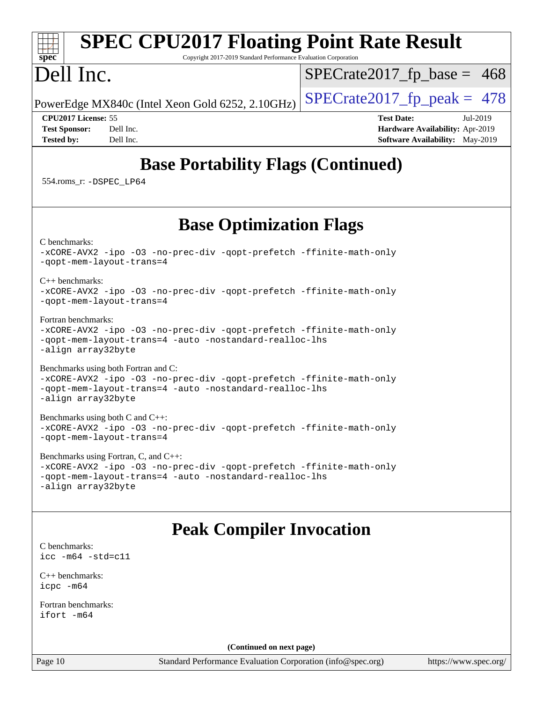#### **[spec](http://www.spec.org/) [SPEC CPU2017 Floating Point Rate Result](http://www.spec.org/auto/cpu2017/Docs/result-fields.html#SPECCPU2017FloatingPointRateResult)** Copyright 2017-2019 Standard Performance Evaluation Corporation Dell Inc. PowerEdge MX840c (Intel Xeon Gold 6252, 2.10GHz)  $\left|$  [SPECrate2017\\_fp\\_peak =](http://www.spec.org/auto/cpu2017/Docs/result-fields.html#SPECrate2017fppeak) 478  $SPECTate2017_fp\_base = 468$ **[CPU2017 License:](http://www.spec.org/auto/cpu2017/Docs/result-fields.html#CPU2017License)** 55 **[Test Date:](http://www.spec.org/auto/cpu2017/Docs/result-fields.html#TestDate)** Jul-2019 **[Test Sponsor:](http://www.spec.org/auto/cpu2017/Docs/result-fields.html#TestSponsor)** Dell Inc. **[Hardware Availability:](http://www.spec.org/auto/cpu2017/Docs/result-fields.html#HardwareAvailability)** Apr-2019 **[Tested by:](http://www.spec.org/auto/cpu2017/Docs/result-fields.html#Testedby)** Dell Inc. **[Software Availability:](http://www.spec.org/auto/cpu2017/Docs/result-fields.html#SoftwareAvailability)** May-2019 **[Base Portability Flags \(Continued\)](http://www.spec.org/auto/cpu2017/Docs/result-fields.html#BasePortabilityFlags)** 554.roms\_r: [-DSPEC\\_LP64](http://www.spec.org/cpu2017/results/res2019q3/cpu2017-20190805-16500.flags.html#suite_basePORTABILITY554_roms_r_DSPEC_LP64) **[Base Optimization Flags](http://www.spec.org/auto/cpu2017/Docs/result-fields.html#BaseOptimizationFlags)** [C benchmarks](http://www.spec.org/auto/cpu2017/Docs/result-fields.html#Cbenchmarks): [-xCORE-AVX2](http://www.spec.org/cpu2017/results/res2019q3/cpu2017-20190805-16500.flags.html#user_CCbase_f-xCORE-AVX2) [-ipo](http://www.spec.org/cpu2017/results/res2019q3/cpu2017-20190805-16500.flags.html#user_CCbase_f-ipo) [-O3](http://www.spec.org/cpu2017/results/res2019q3/cpu2017-20190805-16500.flags.html#user_CCbase_f-O3) [-no-prec-div](http://www.spec.org/cpu2017/results/res2019q3/cpu2017-20190805-16500.flags.html#user_CCbase_f-no-prec-div) [-qopt-prefetch](http://www.spec.org/cpu2017/results/res2019q3/cpu2017-20190805-16500.flags.html#user_CCbase_f-qopt-prefetch) [-ffinite-math-only](http://www.spec.org/cpu2017/results/res2019q3/cpu2017-20190805-16500.flags.html#user_CCbase_f_finite_math_only_cb91587bd2077682c4b38af759c288ed7c732db004271a9512da14a4f8007909a5f1427ecbf1a0fb78ff2a814402c6114ac565ca162485bbcae155b5e4258871) [-qopt-mem-layout-trans=4](http://www.spec.org/cpu2017/results/res2019q3/cpu2017-20190805-16500.flags.html#user_CCbase_f-qopt-mem-layout-trans_fa39e755916c150a61361b7846f310bcdf6f04e385ef281cadf3647acec3f0ae266d1a1d22d972a7087a248fd4e6ca390a3634700869573d231a252c784941a8) [C++ benchmarks:](http://www.spec.org/auto/cpu2017/Docs/result-fields.html#CXXbenchmarks) [-xCORE-AVX2](http://www.spec.org/cpu2017/results/res2019q3/cpu2017-20190805-16500.flags.html#user_CXXbase_f-xCORE-AVX2) [-ipo](http://www.spec.org/cpu2017/results/res2019q3/cpu2017-20190805-16500.flags.html#user_CXXbase_f-ipo) [-O3](http://www.spec.org/cpu2017/results/res2019q3/cpu2017-20190805-16500.flags.html#user_CXXbase_f-O3) [-no-prec-div](http://www.spec.org/cpu2017/results/res2019q3/cpu2017-20190805-16500.flags.html#user_CXXbase_f-no-prec-div) [-qopt-prefetch](http://www.spec.org/cpu2017/results/res2019q3/cpu2017-20190805-16500.flags.html#user_CXXbase_f-qopt-prefetch) [-ffinite-math-only](http://www.spec.org/cpu2017/results/res2019q3/cpu2017-20190805-16500.flags.html#user_CXXbase_f_finite_math_only_cb91587bd2077682c4b38af759c288ed7c732db004271a9512da14a4f8007909a5f1427ecbf1a0fb78ff2a814402c6114ac565ca162485bbcae155b5e4258871) [-qopt-mem-layout-trans=4](http://www.spec.org/cpu2017/results/res2019q3/cpu2017-20190805-16500.flags.html#user_CXXbase_f-qopt-mem-layout-trans_fa39e755916c150a61361b7846f310bcdf6f04e385ef281cadf3647acec3f0ae266d1a1d22d972a7087a248fd4e6ca390a3634700869573d231a252c784941a8) [Fortran benchmarks](http://www.spec.org/auto/cpu2017/Docs/result-fields.html#Fortranbenchmarks): [-xCORE-AVX2](http://www.spec.org/cpu2017/results/res2019q3/cpu2017-20190805-16500.flags.html#user_FCbase_f-xCORE-AVX2) [-ipo](http://www.spec.org/cpu2017/results/res2019q3/cpu2017-20190805-16500.flags.html#user_FCbase_f-ipo) [-O3](http://www.spec.org/cpu2017/results/res2019q3/cpu2017-20190805-16500.flags.html#user_FCbase_f-O3) [-no-prec-div](http://www.spec.org/cpu2017/results/res2019q3/cpu2017-20190805-16500.flags.html#user_FCbase_f-no-prec-div) [-qopt-prefetch](http://www.spec.org/cpu2017/results/res2019q3/cpu2017-20190805-16500.flags.html#user_FCbase_f-qopt-prefetch) [-ffinite-math-only](http://www.spec.org/cpu2017/results/res2019q3/cpu2017-20190805-16500.flags.html#user_FCbase_f_finite_math_only_cb91587bd2077682c4b38af759c288ed7c732db004271a9512da14a4f8007909a5f1427ecbf1a0fb78ff2a814402c6114ac565ca162485bbcae155b5e4258871) [-qopt-mem-layout-trans=4](http://www.spec.org/cpu2017/results/res2019q3/cpu2017-20190805-16500.flags.html#user_FCbase_f-qopt-mem-layout-trans_fa39e755916c150a61361b7846f310bcdf6f04e385ef281cadf3647acec3f0ae266d1a1d22d972a7087a248fd4e6ca390a3634700869573d231a252c784941a8) [-auto](http://www.spec.org/cpu2017/results/res2019q3/cpu2017-20190805-16500.flags.html#user_FCbase_f-auto) [-nostandard-realloc-lhs](http://www.spec.org/cpu2017/results/res2019q3/cpu2017-20190805-16500.flags.html#user_FCbase_f_2003_std_realloc_82b4557e90729c0f113870c07e44d33d6f5a304b4f63d4c15d2d0f1fab99f5daaed73bdb9275d9ae411527f28b936061aa8b9c8f2d63842963b95c9dd6426b8a) [-align array32byte](http://www.spec.org/cpu2017/results/res2019q3/cpu2017-20190805-16500.flags.html#user_FCbase_align_array32byte_b982fe038af199962ba9a80c053b8342c548c85b40b8e86eb3cc33dee0d7986a4af373ac2d51c3f7cf710a18d62fdce2948f201cd044323541f22fc0fffc51b6) [Benchmarks using both Fortran and C](http://www.spec.org/auto/cpu2017/Docs/result-fields.html#BenchmarksusingbothFortranandC): [-xCORE-AVX2](http://www.spec.org/cpu2017/results/res2019q3/cpu2017-20190805-16500.flags.html#user_CC_FCbase_f-xCORE-AVX2) [-ipo](http://www.spec.org/cpu2017/results/res2019q3/cpu2017-20190805-16500.flags.html#user_CC_FCbase_f-ipo) [-O3](http://www.spec.org/cpu2017/results/res2019q3/cpu2017-20190805-16500.flags.html#user_CC_FCbase_f-O3) [-no-prec-div](http://www.spec.org/cpu2017/results/res2019q3/cpu2017-20190805-16500.flags.html#user_CC_FCbase_f-no-prec-div) [-qopt-prefetch](http://www.spec.org/cpu2017/results/res2019q3/cpu2017-20190805-16500.flags.html#user_CC_FCbase_f-qopt-prefetch) [-ffinite-math-only](http://www.spec.org/cpu2017/results/res2019q3/cpu2017-20190805-16500.flags.html#user_CC_FCbase_f_finite_math_only_cb91587bd2077682c4b38af759c288ed7c732db004271a9512da14a4f8007909a5f1427ecbf1a0fb78ff2a814402c6114ac565ca162485bbcae155b5e4258871) [-qopt-mem-layout-trans=4](http://www.spec.org/cpu2017/results/res2019q3/cpu2017-20190805-16500.flags.html#user_CC_FCbase_f-qopt-mem-layout-trans_fa39e755916c150a61361b7846f310bcdf6f04e385ef281cadf3647acec3f0ae266d1a1d22d972a7087a248fd4e6ca390a3634700869573d231a252c784941a8) [-auto](http://www.spec.org/cpu2017/results/res2019q3/cpu2017-20190805-16500.flags.html#user_CC_FCbase_f-auto) [-nostandard-realloc-lhs](http://www.spec.org/cpu2017/results/res2019q3/cpu2017-20190805-16500.flags.html#user_CC_FCbase_f_2003_std_realloc_82b4557e90729c0f113870c07e44d33d6f5a304b4f63d4c15d2d0f1fab99f5daaed73bdb9275d9ae411527f28b936061aa8b9c8f2d63842963b95c9dd6426b8a) [-align array32byte](http://www.spec.org/cpu2017/results/res2019q3/cpu2017-20190805-16500.flags.html#user_CC_FCbase_align_array32byte_b982fe038af199962ba9a80c053b8342c548c85b40b8e86eb3cc33dee0d7986a4af373ac2d51c3f7cf710a18d62fdce2948f201cd044323541f22fc0fffc51b6) [Benchmarks using both C and C++](http://www.spec.org/auto/cpu2017/Docs/result-fields.html#BenchmarksusingbothCandCXX): [-xCORE-AVX2](http://www.spec.org/cpu2017/results/res2019q3/cpu2017-20190805-16500.flags.html#user_CC_CXXbase_f-xCORE-AVX2) [-ipo](http://www.spec.org/cpu2017/results/res2019q3/cpu2017-20190805-16500.flags.html#user_CC_CXXbase_f-ipo) [-O3](http://www.spec.org/cpu2017/results/res2019q3/cpu2017-20190805-16500.flags.html#user_CC_CXXbase_f-O3) [-no-prec-div](http://www.spec.org/cpu2017/results/res2019q3/cpu2017-20190805-16500.flags.html#user_CC_CXXbase_f-no-prec-div) [-qopt-prefetch](http://www.spec.org/cpu2017/results/res2019q3/cpu2017-20190805-16500.flags.html#user_CC_CXXbase_f-qopt-prefetch) [-ffinite-math-only](http://www.spec.org/cpu2017/results/res2019q3/cpu2017-20190805-16500.flags.html#user_CC_CXXbase_f_finite_math_only_cb91587bd2077682c4b38af759c288ed7c732db004271a9512da14a4f8007909a5f1427ecbf1a0fb78ff2a814402c6114ac565ca162485bbcae155b5e4258871) [-qopt-mem-layout-trans=4](http://www.spec.org/cpu2017/results/res2019q3/cpu2017-20190805-16500.flags.html#user_CC_CXXbase_f-qopt-mem-layout-trans_fa39e755916c150a61361b7846f310bcdf6f04e385ef281cadf3647acec3f0ae266d1a1d22d972a7087a248fd4e6ca390a3634700869573d231a252c784941a8) [Benchmarks using Fortran, C, and C++:](http://www.spec.org/auto/cpu2017/Docs/result-fields.html#BenchmarksusingFortranCandCXX) [-xCORE-AVX2](http://www.spec.org/cpu2017/results/res2019q3/cpu2017-20190805-16500.flags.html#user_CC_CXX_FCbase_f-xCORE-AVX2) [-ipo](http://www.spec.org/cpu2017/results/res2019q3/cpu2017-20190805-16500.flags.html#user_CC_CXX_FCbase_f-ipo) [-O3](http://www.spec.org/cpu2017/results/res2019q3/cpu2017-20190805-16500.flags.html#user_CC_CXX_FCbase_f-O3) [-no-prec-div](http://www.spec.org/cpu2017/results/res2019q3/cpu2017-20190805-16500.flags.html#user_CC_CXX_FCbase_f-no-prec-div) [-qopt-prefetch](http://www.spec.org/cpu2017/results/res2019q3/cpu2017-20190805-16500.flags.html#user_CC_CXX_FCbase_f-qopt-prefetch) [-ffinite-math-only](http://www.spec.org/cpu2017/results/res2019q3/cpu2017-20190805-16500.flags.html#user_CC_CXX_FCbase_f_finite_math_only_cb91587bd2077682c4b38af759c288ed7c732db004271a9512da14a4f8007909a5f1427ecbf1a0fb78ff2a814402c6114ac565ca162485bbcae155b5e4258871) [-qopt-mem-layout-trans=4](http://www.spec.org/cpu2017/results/res2019q3/cpu2017-20190805-16500.flags.html#user_CC_CXX_FCbase_f-qopt-mem-layout-trans_fa39e755916c150a61361b7846f310bcdf6f04e385ef281cadf3647acec3f0ae266d1a1d22d972a7087a248fd4e6ca390a3634700869573d231a252c784941a8) [-auto](http://www.spec.org/cpu2017/results/res2019q3/cpu2017-20190805-16500.flags.html#user_CC_CXX_FCbase_f-auto) [-nostandard-realloc-lhs](http://www.spec.org/cpu2017/results/res2019q3/cpu2017-20190805-16500.flags.html#user_CC_CXX_FCbase_f_2003_std_realloc_82b4557e90729c0f113870c07e44d33d6f5a304b4f63d4c15d2d0f1fab99f5daaed73bdb9275d9ae411527f28b936061aa8b9c8f2d63842963b95c9dd6426b8a) [-align array32byte](http://www.spec.org/cpu2017/results/res2019q3/cpu2017-20190805-16500.flags.html#user_CC_CXX_FCbase_align_array32byte_b982fe038af199962ba9a80c053b8342c548c85b40b8e86eb3cc33dee0d7986a4af373ac2d51c3f7cf710a18d62fdce2948f201cd044323541f22fc0fffc51b6) **[Peak Compiler Invocation](http://www.spec.org/auto/cpu2017/Docs/result-fields.html#PeakCompilerInvocation)** [C benchmarks](http://www.spec.org/auto/cpu2017/Docs/result-fields.html#Cbenchmarks): [icc -m64 -std=c11](http://www.spec.org/cpu2017/results/res2019q3/cpu2017-20190805-16500.flags.html#user_CCpeak_intel_icc_64bit_c11_33ee0cdaae7deeeab2a9725423ba97205ce30f63b9926c2519791662299b76a0318f32ddfffdc46587804de3178b4f9328c46fa7c2b0cd779d7a61945c91cd35) [C++ benchmarks:](http://www.spec.org/auto/cpu2017/Docs/result-fields.html#CXXbenchmarks) [icpc -m64](http://www.spec.org/cpu2017/results/res2019q3/cpu2017-20190805-16500.flags.html#user_CXXpeak_intel_icpc_64bit_4ecb2543ae3f1412ef961e0650ca070fec7b7afdcd6ed48761b84423119d1bf6bdf5cad15b44d48e7256388bc77273b966e5eb805aefd121eb22e9299b2ec9d9) [Fortran benchmarks](http://www.spec.org/auto/cpu2017/Docs/result-fields.html#Fortranbenchmarks): [ifort -m64](http://www.spec.org/cpu2017/results/res2019q3/cpu2017-20190805-16500.flags.html#user_FCpeak_intel_ifort_64bit_24f2bb282fbaeffd6157abe4f878425411749daecae9a33200eee2bee2fe76f3b89351d69a8130dd5949958ce389cf37ff59a95e7a40d588e8d3a57e0c3fd751) **(Continued on next page)**

Page 10 Standard Performance Evaluation Corporation [\(info@spec.org\)](mailto:info@spec.org) <https://www.spec.org/>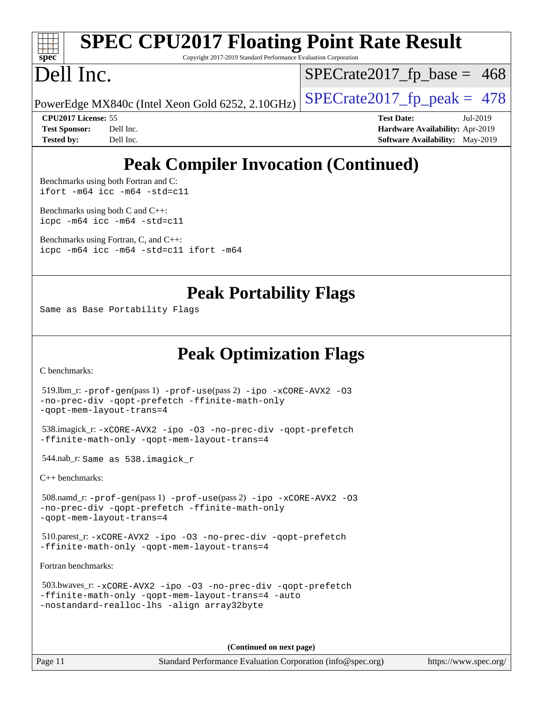

# **[SPEC CPU2017 Floating Point Rate Result](http://www.spec.org/auto/cpu2017/Docs/result-fields.html#SPECCPU2017FloatingPointRateResult)**

Copyright 2017-2019 Standard Performance Evaluation Corporation

## Dell Inc.

 $SPECTate2017_fp\_base = 468$ 

PowerEdge MX840c (Intel Xeon Gold 6252, 2.10GHz)  $\left|$  [SPECrate2017\\_fp\\_peak =](http://www.spec.org/auto/cpu2017/Docs/result-fields.html#SPECrate2017fppeak) 478

**[CPU2017 License:](http://www.spec.org/auto/cpu2017/Docs/result-fields.html#CPU2017License)** 55 **[Test Date:](http://www.spec.org/auto/cpu2017/Docs/result-fields.html#TestDate)** Jul-2019 **[Test Sponsor:](http://www.spec.org/auto/cpu2017/Docs/result-fields.html#TestSponsor)** Dell Inc. **[Hardware Availability:](http://www.spec.org/auto/cpu2017/Docs/result-fields.html#HardwareAvailability)** Apr-2019 **[Tested by:](http://www.spec.org/auto/cpu2017/Docs/result-fields.html#Testedby)** Dell Inc. Dell Inc. **[Software Availability:](http://www.spec.org/auto/cpu2017/Docs/result-fields.html#SoftwareAvailability)** May-2019

## **[Peak Compiler Invocation \(Continued\)](http://www.spec.org/auto/cpu2017/Docs/result-fields.html#PeakCompilerInvocation)**

[Benchmarks using both Fortran and C](http://www.spec.org/auto/cpu2017/Docs/result-fields.html#BenchmarksusingbothFortranandC): [ifort -m64](http://www.spec.org/cpu2017/results/res2019q3/cpu2017-20190805-16500.flags.html#user_CC_FCpeak_intel_ifort_64bit_24f2bb282fbaeffd6157abe4f878425411749daecae9a33200eee2bee2fe76f3b89351d69a8130dd5949958ce389cf37ff59a95e7a40d588e8d3a57e0c3fd751) [icc -m64 -std=c11](http://www.spec.org/cpu2017/results/res2019q3/cpu2017-20190805-16500.flags.html#user_CC_FCpeak_intel_icc_64bit_c11_33ee0cdaae7deeeab2a9725423ba97205ce30f63b9926c2519791662299b76a0318f32ddfffdc46587804de3178b4f9328c46fa7c2b0cd779d7a61945c91cd35)

[Benchmarks using both C and C++](http://www.spec.org/auto/cpu2017/Docs/result-fields.html#BenchmarksusingbothCandCXX): [icpc -m64](http://www.spec.org/cpu2017/results/res2019q3/cpu2017-20190805-16500.flags.html#user_CC_CXXpeak_intel_icpc_64bit_4ecb2543ae3f1412ef961e0650ca070fec7b7afdcd6ed48761b84423119d1bf6bdf5cad15b44d48e7256388bc77273b966e5eb805aefd121eb22e9299b2ec9d9) [icc -m64 -std=c11](http://www.spec.org/cpu2017/results/res2019q3/cpu2017-20190805-16500.flags.html#user_CC_CXXpeak_intel_icc_64bit_c11_33ee0cdaae7deeeab2a9725423ba97205ce30f63b9926c2519791662299b76a0318f32ddfffdc46587804de3178b4f9328c46fa7c2b0cd779d7a61945c91cd35)

[Benchmarks using Fortran, C, and C++:](http://www.spec.org/auto/cpu2017/Docs/result-fields.html#BenchmarksusingFortranCandCXX) [icpc -m64](http://www.spec.org/cpu2017/results/res2019q3/cpu2017-20190805-16500.flags.html#user_CC_CXX_FCpeak_intel_icpc_64bit_4ecb2543ae3f1412ef961e0650ca070fec7b7afdcd6ed48761b84423119d1bf6bdf5cad15b44d48e7256388bc77273b966e5eb805aefd121eb22e9299b2ec9d9) [icc -m64 -std=c11](http://www.spec.org/cpu2017/results/res2019q3/cpu2017-20190805-16500.flags.html#user_CC_CXX_FCpeak_intel_icc_64bit_c11_33ee0cdaae7deeeab2a9725423ba97205ce30f63b9926c2519791662299b76a0318f32ddfffdc46587804de3178b4f9328c46fa7c2b0cd779d7a61945c91cd35) [ifort -m64](http://www.spec.org/cpu2017/results/res2019q3/cpu2017-20190805-16500.flags.html#user_CC_CXX_FCpeak_intel_ifort_64bit_24f2bb282fbaeffd6157abe4f878425411749daecae9a33200eee2bee2fe76f3b89351d69a8130dd5949958ce389cf37ff59a95e7a40d588e8d3a57e0c3fd751)

#### **[Peak Portability Flags](http://www.spec.org/auto/cpu2017/Docs/result-fields.html#PeakPortabilityFlags)**

Same as Base Portability Flags

## **[Peak Optimization Flags](http://www.spec.org/auto/cpu2017/Docs/result-fields.html#PeakOptimizationFlags)**

[C benchmarks](http://www.spec.org/auto/cpu2017/Docs/result-fields.html#Cbenchmarks):

```
 519.lbm_r: -prof-gen(pass 1) -prof-use(pass 2) -ipo -xCORE-AVX2 -O3
-no-prec-div -qopt-prefetch -ffinite-math-only
-qopt-mem-layout-trans=4
 538.imagick_r: -xCORE-AVX2 -ipo -O3 -no-prec-div -qopt-prefetch
-ffinite-math-only -qopt-mem-layout-trans=4
 544.nab_r: Same as 538.imagick_r
C++ benchmarks: 
 508.namd_r: -prof-gen(pass 1) -prof-use(pass 2) -ipo -xCORE-AVX2 -O3
-no-prec-div -qopt-prefetch -ffinite-math-only
-qopt-mem-layout-trans=4
```
 510.parest\_r: [-xCORE-AVX2](http://www.spec.org/cpu2017/results/res2019q3/cpu2017-20190805-16500.flags.html#user_peakCXXOPTIMIZE510_parest_r_f-xCORE-AVX2) [-ipo](http://www.spec.org/cpu2017/results/res2019q3/cpu2017-20190805-16500.flags.html#user_peakCXXOPTIMIZE510_parest_r_f-ipo) [-O3](http://www.spec.org/cpu2017/results/res2019q3/cpu2017-20190805-16500.flags.html#user_peakCXXOPTIMIZE510_parest_r_f-O3) [-no-prec-div](http://www.spec.org/cpu2017/results/res2019q3/cpu2017-20190805-16500.flags.html#user_peakCXXOPTIMIZE510_parest_r_f-no-prec-div) [-qopt-prefetch](http://www.spec.org/cpu2017/results/res2019q3/cpu2017-20190805-16500.flags.html#user_peakCXXOPTIMIZE510_parest_r_f-qopt-prefetch) [-ffinite-math-only](http://www.spec.org/cpu2017/results/res2019q3/cpu2017-20190805-16500.flags.html#user_peakCXXOPTIMIZE510_parest_r_f_finite_math_only_cb91587bd2077682c4b38af759c288ed7c732db004271a9512da14a4f8007909a5f1427ecbf1a0fb78ff2a814402c6114ac565ca162485bbcae155b5e4258871) [-qopt-mem-layout-trans=4](http://www.spec.org/cpu2017/results/res2019q3/cpu2017-20190805-16500.flags.html#user_peakCXXOPTIMIZE510_parest_r_f-qopt-mem-layout-trans_fa39e755916c150a61361b7846f310bcdf6f04e385ef281cadf3647acec3f0ae266d1a1d22d972a7087a248fd4e6ca390a3634700869573d231a252c784941a8)

[Fortran benchmarks](http://www.spec.org/auto/cpu2017/Docs/result-fields.html#Fortranbenchmarks):

```
 503.bwaves_r: -xCORE-AVX2 -ipo -O3 -no-prec-div -qopt-prefetch
-ffinite-math-only -qopt-mem-layout-trans=4 -auto
-nostandard-realloc-lhs -align array32byte
```
**(Continued on next page)**